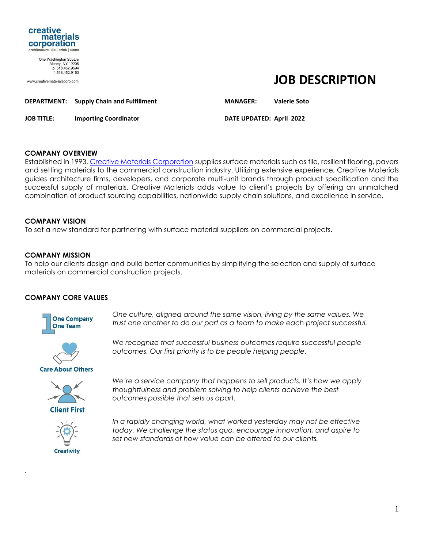

One Washington Square Albany, NY 12205<br>p. 518.452.9694 f 518 452 9153

www.creativematerialscorp.com

# **JOB DESCRIPTION**

|   | DEPARTMENT: Supply Chain and Fulfillment | <b>MANAGER:</b> | <b>Valerie Soto</b> |
|---|------------------------------------------|-----------------|---------------------|
| . |                                          |                 |                     |

**JOB TITLE: Importing Coordinator DATE UPDATED: April 2022**

#### **COMPANY OVERVIEW**

Established in 1993, [Creative Materials Corporation](https://www.creativematerialscorp.com/) supplies surface materials such as tile, resilient flooring, pavers and setting materials to the commercial construction industry. Utilizing extensive experience, Creative Materials guides architecture firms, developers, and corporate multi-unit brands through product specification and the successful supply of materials. Creative Materials adds value to client's projects by offering an unmatched combination of product sourcing capabilities, nationwide supply chain solutions, and excellence in service.

## **COMPANY VISION**

To set a new standard for partnering with surface material suppliers on commercial projects.

## **COMPANY MISSION**

To help our clients design and build better communities by simplifying the selection and supply of surface materials on commercial construction projects.

#### **COMPANY CORE VALUES**



*One culture, aligned around the same vision, living by the same values. We trust one another to do our part as a team to make each project successful.* 



*We recognize that successful business outcomes require successful people outcomes. Our first priority is to be people helping people.* 

**Care About Others** 



*We're a service company that happens to sell products. It's how we apply thoughtfulness and problem solving to help clients achieve the best outcomes possible that sets us apart.*



.

*In a rapidly changing world, what worked yesterday may not be effective today. We challenge the status quo, encourage innovation, and aspire to set new standards of how value can be offered to our clients.*